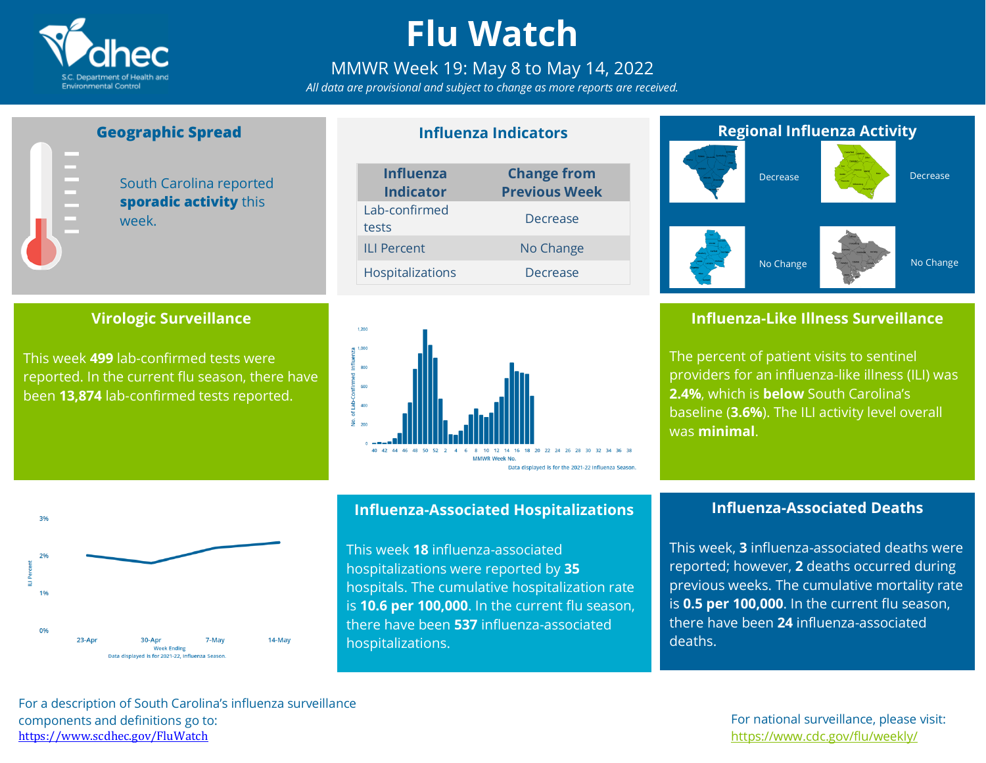

# **Flu Watch**

### MMWR Week 19: May 8 to May 14, 2022

*All data are provisional and subject to change as more reports are received.*

**Influenza Indicators**

## **Geographic Spread**

South Carolina reported **sporadic activity** this week.

### **Virologic Surveillance**

This week **499** lab-confirmed tests were reported. In the current flu season, there have been **13,874** lab-confirmed tests reported.

| <b>Influenza</b><br><b>Indicator</b> | <b>Change from</b><br><b>Previous Week</b> |  |  |
|--------------------------------------|--------------------------------------------|--|--|
| Lab-confirmed<br>tests               | Decrease                                   |  |  |
| <b>ILI Percent</b>                   | No Change                                  |  |  |
| <b>Hospitalizations</b>              | Decrease                                   |  |  |



### **Regional Influenza Activity**



### **Influenza-Like Illness Surveillance**

The percent of patient visits to sentinel providers for an influenza-like illness (ILI) was **2.4%**, which is **below** South Carolina's baseline (**3.6%**). The ILI activity level overall was **minimal**.



#### **Influenza-Associated Hospitalizations**

This week **18** influenza-associated hospitalizations were reported by **35** hospitals. The cumulative hospitalization rate is **10.6 per 100,000**. In the current flu season, there have been **537** influenza-associated hospitalizations.

### **Influenza-Associated Deaths**

This week, **3** influenza-associated deaths were reported; however, **2** deaths occurred during previous weeks. The cumulative mortality rate is **0.5 per 100,000**. In the current flu season, there have been **24** influenza-associated deaths.

For a description of South Carolina's influenza surveillance components and definitions go to: <https://www.scdhec.gov/FluWatch>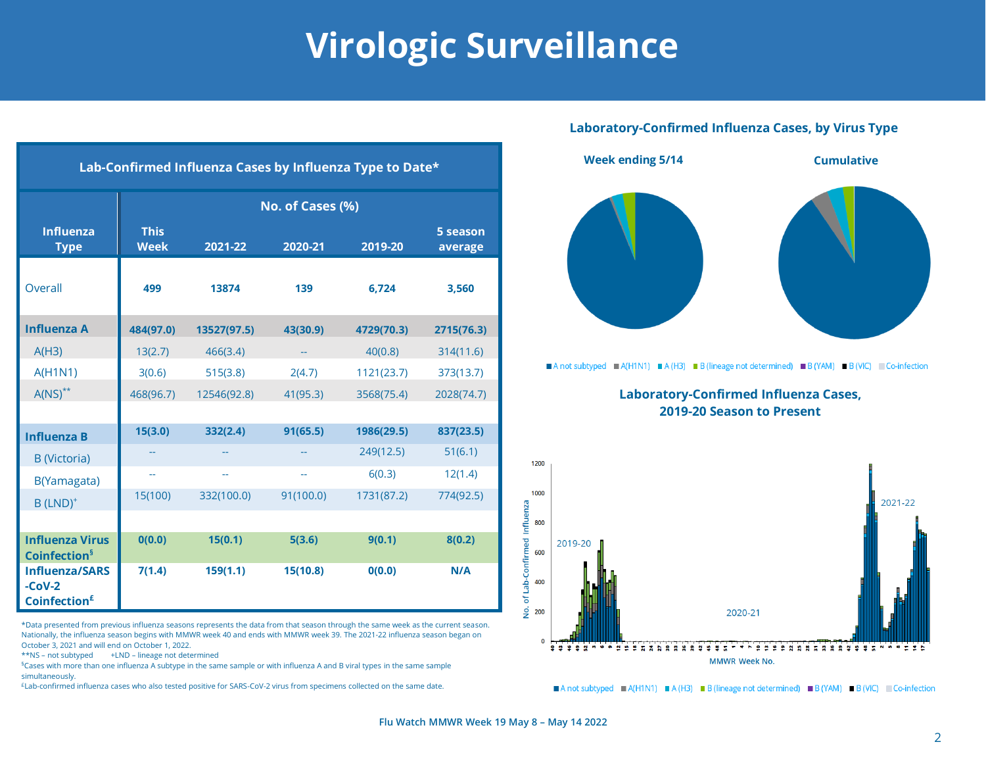# **Virologic Surveillance**

#### **Laboratory-Confirmed Influenza Cases, by Virus Type**



Anot subtyped A(H1N1) A (H3) B (lineage not determined) B (YAM) B (VIC) Co-infection

**Laboratory-Confirmed Influenza Cases, 2019-20 Season to Present**



A not subtyped A (H1N1) A (H3) B (lineage not determined) B (YAM) B (VIC) Co-infection

| Lab-Confirmed Influenza Cases by Influenza Type to Date*    |                            |             |           |            |                     |  |  |  |  |
|-------------------------------------------------------------|----------------------------|-------------|-----------|------------|---------------------|--|--|--|--|
|                                                             | No. of Cases (%)           |             |           |            |                     |  |  |  |  |
| <b>Influenza</b><br><b>Type</b>                             | <b>This</b><br><b>Week</b> | 2021-22     | 2020-21   | 2019-20    | 5 season<br>average |  |  |  |  |
| <b>Overall</b>                                              | 499                        | 13874       | 139       | 6,724      | 3,560               |  |  |  |  |
| <b>Influenza A</b>                                          | 484(97.0)                  | 13527(97.5) | 43(30.9)  | 4729(70.3) | 2715(76.3)          |  |  |  |  |
| A(H3)                                                       | 13(2.7)                    | 466(3.4)    |           | 40(0.8)    | 314(11.6)           |  |  |  |  |
| <b>A(H1N1)</b>                                              | 3(0.6)                     | 515(3.8)    | 2(4.7)    | 1121(23.7) | 373(13.7)           |  |  |  |  |
| $A(NS)^{**}$                                                | 468(96.7)                  | 12546(92.8) | 41(95.3)  | 3568(75.4) | 2028(74.7)          |  |  |  |  |
|                                                             |                            |             |           |            |                     |  |  |  |  |
| <b>Influenza B</b>                                          | 15(3.0)                    | 332(2.4)    | 91(65.5)  | 1986(29.5) | 837(23.5)           |  |  |  |  |
| <b>B</b> (Victoria)                                         |                            |             |           | 249(12.5)  | 51(6.1)             |  |  |  |  |
| B(Yamagata)                                                 |                            | 44          | ۰.        | 6(0.3)     | 12(1.4)             |  |  |  |  |
| $B$ (LND) <sup>+</sup>                                      | 15(100)                    | 332(100.0)  | 91(100.0) | 1731(87.2) | 774(92.5)           |  |  |  |  |
|                                                             |                            |             |           |            |                     |  |  |  |  |
| <b>Influenza Virus</b><br>Coinfection <sup>§</sup>          | 0(0.0)                     | 15(0.1)     | 5(3.6)    | 9(0.1)     | 8(0.2)              |  |  |  |  |
| <b>Influenza/SARS</b><br>-CoV-2<br>Coinfection <sup>£</sup> | 7(1.4)                     | 159(1.1)    | 15(10.8)  | 0(0.0)     | N/A                 |  |  |  |  |

\*Data presented from previous influenza seasons represents the data from that season through the same week as the current season. Nationally, the influenza season begins with MMWR week 40 and ends with MMWR week 39. The 2021-22 influenza season began on October 3, 2021 and will end on October 1, 2022.

\*\*NS – not subtyped +LND – lineage not determined

§Cases with more than one influenza A subtype in the same sample or with influenza A and B viral types in the same sample simultaneously.

£Lab-confirmed influenza cases who also tested positive for SARS-CoV-2 virus from specimens collected on the same date.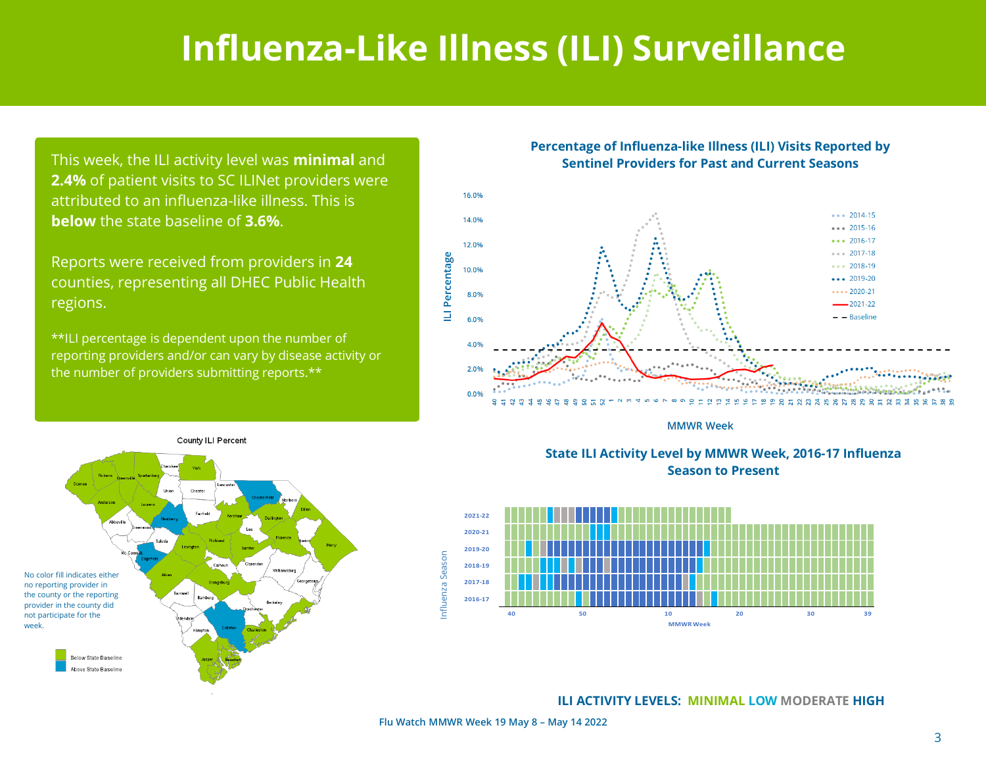## **Influenza-Like Illness (ILI) Surveillance**

This week, the ILI activity level was **minimal** and **2.4%** of patient visits to SC ILINet providers were attributed to an influenza-like illness. This is **below** the state baseline of **3.6%**.

Reports were received from providers in **24** counties, representing all DHEC Public Health regions.

\*\*ILI percentage is dependent upon the number of reporting providers and/or can vary by disease activity or the number of providers submitting reports.\*\*

County ILI Percent





**MMWR Week** 





**ILI ACTIVITY LEVELS: MINIMAL LOW MODERATE HIGH**